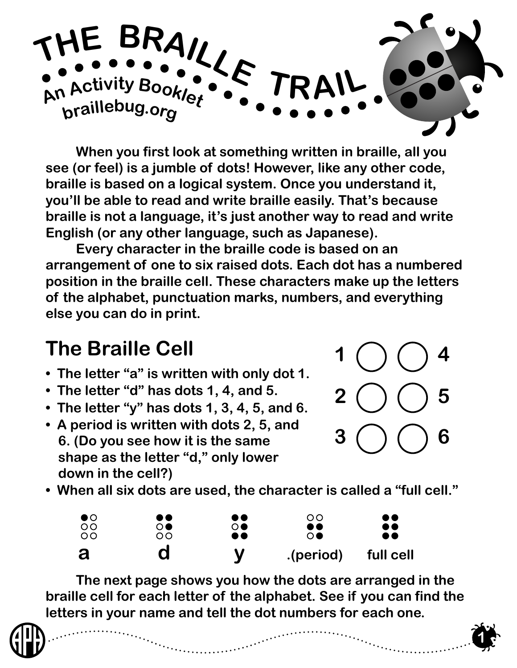

 **When you first look at something written in braille, all you see (or feel) is a jumble of dots! However, like any other code, braille is based on a logical system. Once you understand it, you'll be able to read and write braille easily. That's because braille is not a language, it's just another way to read and write English (or any other language, such as Japanese).**

 **Every character in the braille code is based on an arrangement of one to six raised dots. Each dot has a numbered position in the braille cell. These characters make up the letters of the alphabet, punctuation marks, numbers, and everything else you can do in print.** 

## **The Braille Cell**

- **The letter "a" is written with only dot 1.**
- **The letter "d" has dots 1, 4, and 5.**
- **The letter "y" has dots 1, 3, 4, 5, and 6.**
- **A period is written with dots 2, 5, and 6. (Do you see how it is the same shape as the letter "d," only lower down in the cell?)**



**1**

**• When all six dots are used, the character is called a "full cell."**



 **The next page shows you how the dots are arranged in the braille cell for each letter of the alphabet. See if you can find the letters in your name and tell the dot numbers for each one.**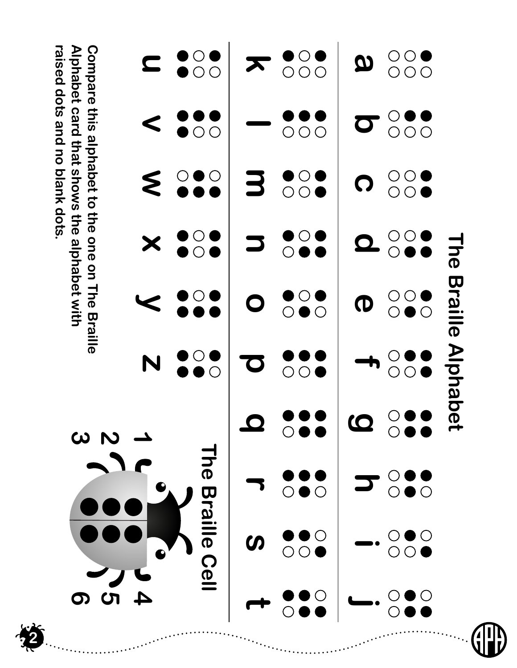|            |                                     |                             | $\omega$ $\omega$     |                                                                               |                                         |                    | Alphabet card that shows the alphabet with<br>Compare this alphabet to the one on The Braille<br>raised dots and hold and to this |                                                           |                                                                                  |
|------------|-------------------------------------|-----------------------------|-----------------------|-------------------------------------------------------------------------------|-----------------------------------------|--------------------|-----------------------------------------------------------------------------------------------------------------------------------|-----------------------------------------------------------|----------------------------------------------------------------------------------|
| 400        |                                     |                             |                       | N                                                                             |                                         | X                  | Ś                                                                                                                                 | $\textcolor{red}{\textstyle\boldsymbol{\textstyle\cdot}}$ | $\textcolor{red}{\blacksquare}$                                                  |
|            | <b>Braille Cell</b>                 | <b>Lhe</b>                  |                       | $\begin{array}{c} \bullet \circ \bullet \\ \bullet \bullet \circ \end{array}$ |                                         | $\sum$             | $\circ$<br>$\circ$<br>$\sum$                                                                                                      | $\bar{\bigcirc}$<br>$\bigcirc$                            | $\bullet\circ$<br>$\overline{O}$                                                 |
|            | $\boldsymbol{\omega}$               |                             |                       | $\mathbf{C}$                                                                  | $\mathbf O$                             |                    | 3                                                                                                                                 |                                                           | $\boldsymbol{\pi}$                                                               |
|            |                                     |                             |                       | $\overline{\circ}$<br>$\overline{\bigcirc}$                                   | $\mathbf{O}$<br>$\overline{O}$          | $\overline{\circ}$ | $\begin{matrix} 0 \\ 0 \\ 0 \end{matrix}$<br>$\ddot{\bullet}$                                                                     | $\overline{O}$<br>$\bigcirc$<br>O                         | $\begin{matrix} \bullet & \circ \\ \circ & \circ \end{matrix}$<br>$\overline{O}$ |
|            |                                     |                             | $\boldsymbol{\omega}$ |                                                                               | $\boldsymbol{\sigma}$                   | $\mathbf \Omega$   | $\boldsymbol{\Omega}$                                                                                                             | $\overline{O}$                                            | $\boldsymbol{\varOmega}$                                                         |
| $\bigcirc$ | $\bigcirc$<br>$\bigcirc$ $\bigcirc$ | $\bigcirc \bullet \bigcirc$ |                       | $\rm \bar{\odot}$<br>$\overline{O}$                                           | $\bigcirc$ $\bigcirc$<br>$\overline{O}$ | D                  | $\bigcirc$<br>$\bigcirc$<br>$\bullet$                                                                                             | $\overline{\circ}$<br>O<br>O<br>$\overline{O}$            | $\bigcirc \circ \bullet$<br>$\circ \circ \circ$                                  |
|            |                                     |                             |                       | <b>Braille Alphabet</b>                                                       |                                         | <b>The</b>         |                                                                                                                                   |                                                           |                                                                                  |

)<br>J

**2**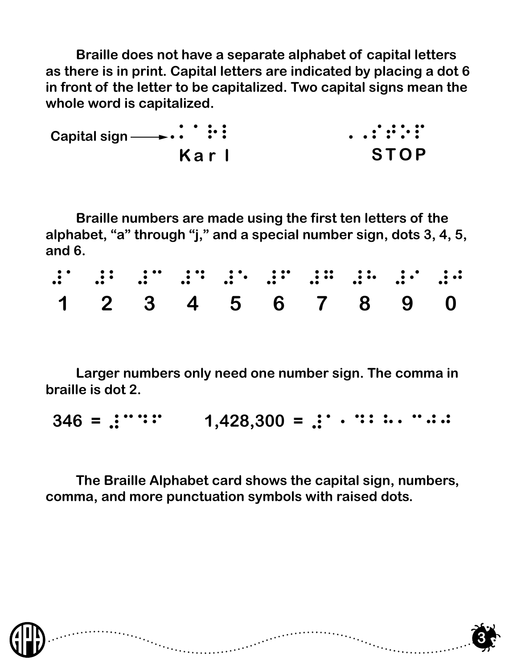**Braille does not have a separate alphabet of capital letters as there is in print. Capital letters are indicated by placing a dot 6 in front of the letter to be capitalized. Two capital signs mean the whole word is capitalized.**

,karl ,,stop **K a r l** Capital sign <u>→→</u> ∴ : : : **ST OP**

 **Braille numbers are made using the first ten letters of the alphabet, "a" through "j," and a special number sign, dots 3, 4, 5, and 6.**

|  | e de la de la de la de la de la de la de la de la de la de la de la de la de la de la de la de la de la de la |  |  |  |  |
|--|---------------------------------------------------------------------------------------------------------------|--|--|--|--|
|  | 1 2 3 4 5 6 7 8 9 0                                                                                           |  |  |  |  |

 **Larger numbers only need one number sign. The comma in braille is dot 2.**

 $346 =$  :  $\cdots$  : 1,428,300 = :  $\cdots$  : : : . . . . . .

 **The Braille Alphabet card shows the capital sign, numbers, comma, and more punctuation symbols with raised dots.**



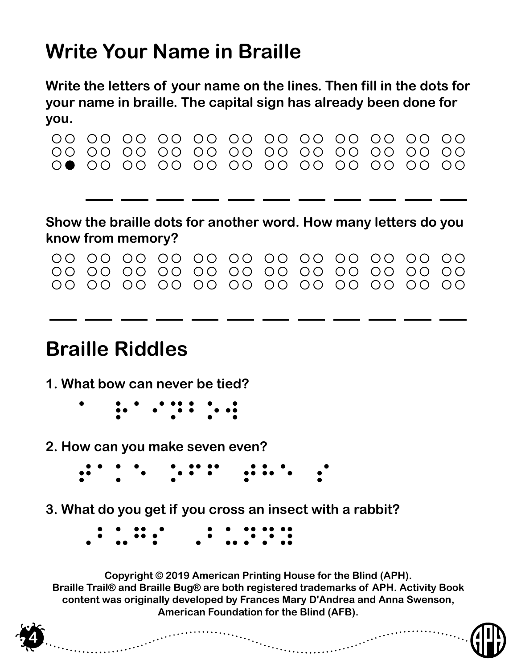## **Write Your Name in Braille**

**Write the letters of your name on the lines. Then fill in the dots for your name in braille. The capital sign has already been done for you.**

| ,,,,                                 |                                 |                                                           |                          |                  |                                |                                |                                                                 |                                              |                                                                                                                              |                                       |                  |
|--------------------------------------|---------------------------------|-----------------------------------------------------------|--------------------------|------------------|--------------------------------|--------------------------------|-----------------------------------------------------------------|----------------------------------------------|------------------------------------------------------------------------------------------------------------------------------|---------------------------------------|------------------|
| OO<br>$\bigcirc$                     | ()()<br>$\bigcirc$              | $\bigcirc$<br>$\bigcirc$<br>$\bigcirc$                    | $\bigcirc$<br>OO<br>OΟ   | OO<br>O O        | OO OO<br>O O<br>$\bigcirc$     | $\bigcirc$<br>OΟ<br>$\bigcirc$ | $\bigcirc$<br>O O<br>O O                                        | $\bigcirc$<br>$\bigcirc$<br>$\bigcirc$<br>OΟ | $\bigcirc$<br>∩                                                                                                              | $\bigcirc$<br>OΟ<br>$\bigcirc$        | OΟ<br>OΟ<br>OΟ   |
|                                      |                                 |                                                           |                          |                  |                                |                                |                                                                 |                                              |                                                                                                                              |                                       |                  |
|                                      | know from memory?               |                                                           |                          |                  |                                |                                | Show the braille dots for another word. How many letters do you |                                              |                                                                                                                              |                                       |                  |
| $\left( \right)$<br>$\bigcirc$<br>OΟ | ()()<br>$\left( \right)$<br>O O | $\bigcap$<br>$\left( \right)$<br>$\bigcirc$<br>$\bigcirc$ | ()()<br>O O<br>$\bigcap$ | OO.<br>OΟ<br>OO. | $\bigcirc$<br>OΟ<br>$\bigcirc$ | $\bigcirc$<br>OΟ<br>OO.        | $\bigcap$<br>OO<br>$\bigcap$                                    | $\bigcirc$<br>OO<br>O O                      | $\bigcirc$<br>$\left(\begin{array}{c} \end{array}\right)$<br>$\left( \right)$<br>$\left( \right)$<br>$\bigcap$<br>$\bigcirc$ | $\bigcirc$<br>$\bigcirc$<br>$\bigcap$ | O O<br>OΟ<br>O O |
|                                      | <b>Braille Riddles</b>          |                                                           |                          |                  |                                |                                |                                                                 |                                              |                                                                                                                              |                                       |                  |

- **1. What bow can never be tied?**
	- a rainbow
- **2. How can you make seven even?**

**4**

- $\ddot{\bullet}$  to see the second the second second second second second second second second second second second second second second second second second second second second second second second second second second second s
- **3. What do you get if you cross an insect with a rabbit?**

| $\bullet\quad\bullet\quad\bullet\bullet\quad\bullet$                     |  |                                         |  |  |
|--------------------------------------------------------------------------|--|-----------------------------------------|--|--|
| $\bullet$ $\bullet$ $\bullet$ $\bullet$<br>$\bullet$ $\bullet$ $\bullet$ |  | $\bullet$ $\bullet$ $\bullet$ $\bullet$ |  |  |

**Copyright © 2019 American Printing House for the Blind (APH). Braille Trail® and Braille Bug® are both registered trademarks of APH. Activity Book content was originally developed by Frances Mary D'Andrea and Anna Swenson, American Foundation for the Blind (AFB).**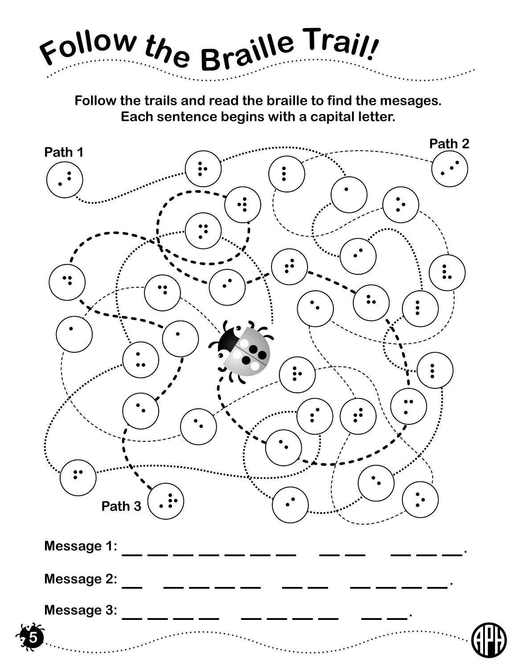

**Follow the trails and read the braille to find the mesages. Each sentence begins with a capital letter.**

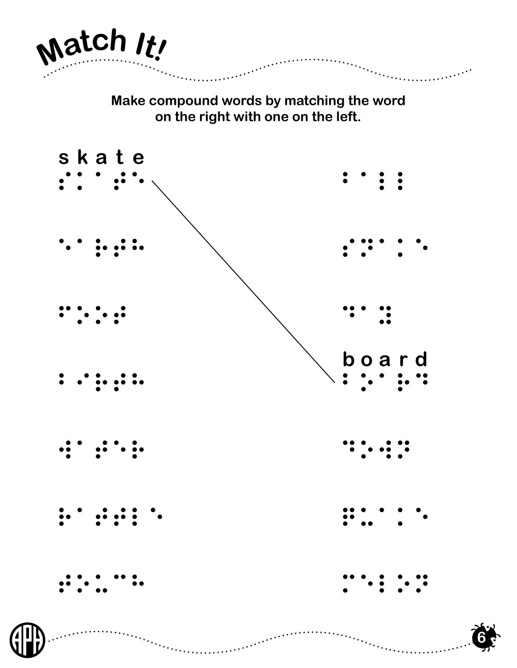

**Make compound words by matching the word on the right with one on the left.**





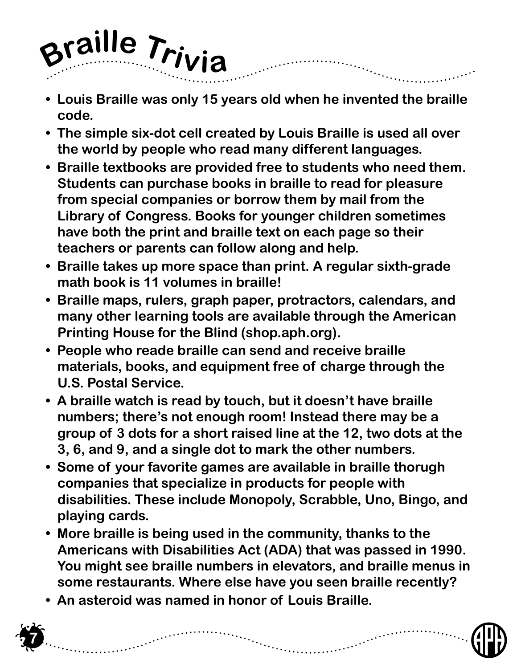

- **Louis Braille was only 15 years old when he invented the braille code.**
- **The simple six-dot cell created by Louis Braille is used all over the world by people who read many different languages.**
- **Braille textbooks are provided free to students who need them. Students can purchase books in braille to read for pleasure from special companies or borrow them by mail from the Library of Congress. Books for younger children sometimes have both the print and braille text on each page so their teachers or parents can follow along and help.**
- **Braille takes up more space than print. A regular sixth-grade math book is 11 volumes in braille!**
- **Braille maps, rulers, graph paper, protractors, calendars, and many other learning tools are available through the American Printing House for the Blind (shop.aph.org).**
- **People who reade braille can send and receive braille materials, books, and equipment free of charge through the U.S. Postal Service.**
- **A braille watch is read by touch, but it doesn't have braille numbers; there's not enough room! Instead there may be a group of 3 dots for a short raised line at the 12, two dots at the 3, 6, and 9, and a single dot to mark the other numbers.**
- **Some of your favorite games are available in braille thorugh companies that specialize in products for people with disabilities. These include Monopoly, Scrabble, Uno, Bingo, and playing cards.**
- **More braille is being used in the community, thanks to the Americans with Disabilities Act (ADA) that was passed in 1990. You might see braille numbers in elevators, and braille menus in some restaurants. Where else have you seen braille recently?**
- **An asteroid was named in honor of Louis Braille.**

**7**